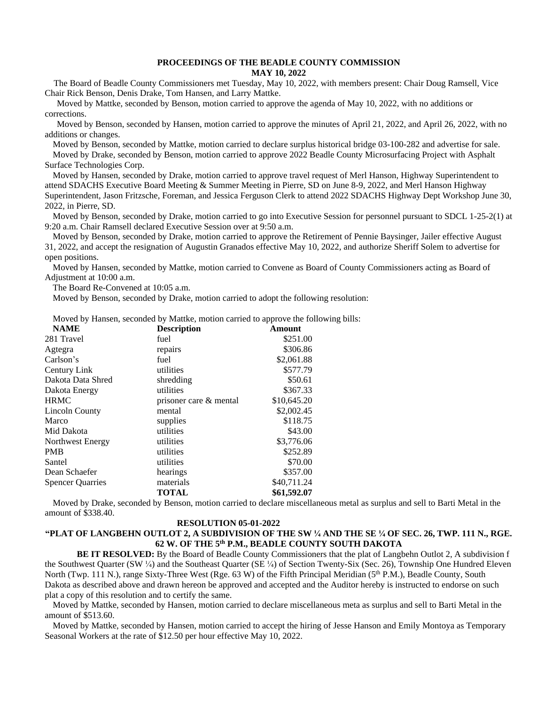## **PROCEEDINGS OF THE BEADLE COUNTY COMMISSION MAY 10, 2022**

 The Board of Beadle County Commissioners met Tuesday, May 10, 2022, with members present: Chair Doug Ramsell, Vice Chair Rick Benson, Denis Drake, Tom Hansen, and Larry Mattke.

Moved by Mattke, seconded by Benson, motion carried to approve the agenda of May 10, 2022, with no additions or corrections.

Moved by Benson, seconded by Hansen, motion carried to approve the minutes of April 21, 2022, and April 26, 2022, with no additions or changes.

Moved by Benson, seconded by Mattke, motion carried to declare surplus historical bridge 03-100-282 and advertise for sale. Moved by Drake, seconded by Benson, motion carried to approve 2022 Beadle County Microsurfacing Project with Asphalt Surface Technologies Corp.

Moved by Hansen, seconded by Drake, motion carried to approve travel request of Merl Hanson, Highway Superintendent to attend SDACHS Executive Board Meeting & Summer Meeting in Pierre, SD on June 8-9, 2022, and Merl Hanson Highway Superintendent, Jason Fritzsche, Foreman, and Jessica Ferguson Clerk to attend 2022 SDACHS Highway Dept Workshop June 30, 2022, in Pierre, SD.

Moved by Benson, seconded by Drake, motion carried to go into Executive Session for personnel pursuant to SDCL 1-25-2(1) at 9:20 a.m. Chair Ramsell declared Executive Session over at 9:50 a.m.

Moved by Benson, seconded by Drake, motion carried to approve the Retirement of Pennie Baysinger, Jailer effective August 31, 2022, and accept the resignation of Augustin Granados effective May 10, 2022, and authorize Sheriff Solem to advertise for open positions.

Moved by Hansen, seconded by Mattke, motion carried to Convene as Board of County Commissioners acting as Board of Adjustment at 10:00 a.m.

The Board Re-Convened at 10:05 a.m.

Moved by Benson, seconded by Drake, motion carried to adopt the following resolution:

Moved by Hansen, seconded by Mattke, motion carried to approve the following bills:

| <b>Description</b>     | Amount      |
|------------------------|-------------|
| fuel                   | \$251.00    |
| repairs                | \$306.86    |
| fuel                   | \$2,061.88  |
| utilities              | \$577.79    |
| shredding              | \$50.61     |
| utilities              | \$367.33    |
| prisoner care & mental | \$10,645.20 |
| mental                 | \$2,002.45  |
| supplies               | \$118.75    |
| utilities              | \$43.00     |
| utilities              | \$3,776.06  |
| utilities              | \$252.89    |
| utilities              | \$70.00     |
| hearings               | \$357.00    |
| materials              | \$40,711.24 |
| <b>TOTAL</b>           | \$61,592.07 |
|                        |             |

Moved by Drake, seconded by Benson, motion carried to declare miscellaneous metal as surplus and sell to Barti Metal in the amount of \$338.40.

## **RESOLUTION 05-01-2022**

## **"PLAT OF LANGBEHN OUTLOT 2, A SUBDIVISION OF THE SW ¼ AND THE SE ¼ OF SEC. 26, TWP. 111 N., RGE. 62 W. OF THE 5th P.M., BEADLE COUNTY SOUTH DAKOTA**

 **BE IT RESOLVED:** By the Board of Beadle County Commissioners that the plat of Langbehn Outlot 2, A subdivision f the Southwest Quarter (SW ¼) and the Southeast Quarter (SE ¼) of Section Twenty-Six (Sec. 26), Township One Hundred Eleven North (Twp. 111 N.), range Sixty-Three West (Rge. 63 W) of the Fifth Principal Meridian (5<sup>th</sup> P.M.), Beadle County, South Dakota as described above and drawn hereon be approved and accepted and the Auditor hereby is instructed to endorse on such plat a copy of this resolution and to certify the same.

Moved by Mattke, seconded by Hansen, motion carried to declare miscellaneous meta as surplus and sell to Barti Metal in the amount of \$513.60.

Moved by Mattke, seconded by Hansen, motion carried to accept the hiring of Jesse Hanson and Emily Montoya as Temporary Seasonal Workers at the rate of \$12.50 per hour effective May 10, 2022.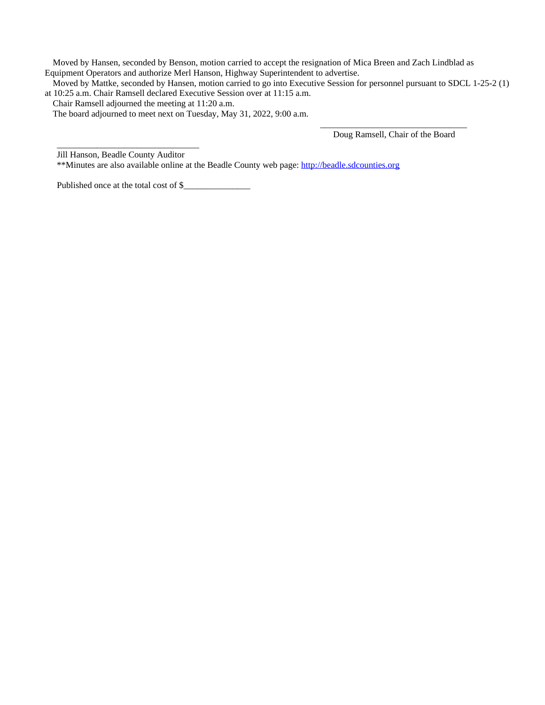Moved by Hansen, seconded by Benson, motion carried to accept the resignation of Mica Breen and Zach Lindblad as Equipment Operators and authorize Merl Hanson, Highway Superintendent to advertise.

Moved by Mattke, seconded by Hansen, motion carried to go into Executive Session for personnel pursuant to SDCL 1-25-2 (1) at 10:25 a.m. Chair Ramsell declared Executive Session over at 11:15 a.m.

Chair Ramsell adjourned the meeting at 11:20 a.m.

The board adjourned to meet next on Tuesday, May 31, 2022, 9:00 a.m.

Doug Ramsell, Chair of the Board

\_\_\_\_\_\_\_\_\_\_\_\_\_\_\_\_\_\_\_\_\_\_\_\_\_\_\_\_\_\_\_\_\_

\_\_\_\_\_\_\_\_\_\_\_\_\_\_\_\_\_\_\_\_\_\_\_\_\_\_\_\_\_\_\_\_ Jill Hanson, Beadle County Auditor

\*\*Minutes are also available online at the Beadle County web page: <http://beadle.sdcounties.org>

[Published](http://beadle.sdcounties.org) [once at the total cost of \\$\\_\\_\\_\\_\\_\\_\\_\\_\\_\\_\\_\\_\\_\\_\\_](http://beadle.sdcounties.org)